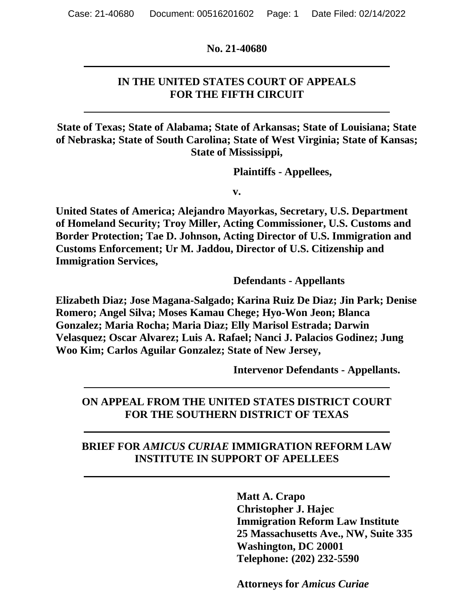**No. 21-40680**

### **IN THE UNITED STATES COURT OF APPEALS FOR THE FIFTH CIRCUIT**

**State of Texas; State of Alabama; State of Arkansas; State of Louisiana; State of Nebraska; State of South Carolina; State of West Virginia; State of Kansas; State of Mississippi,**

**Plaintiffs - Appellees,**

**v.**

**United States of America; Alejandro Mayorkas, Secretary, U.S. Department of Homeland Security; Troy Miller, Acting Commissioner, U.S. Customs and Border Protection; Tae D. Johnson, Acting Director of U.S. Immigration and Customs Enforcement; Ur M. Jaddou, Director of U.S. Citizenship and Immigration Services,**

**Defendants - Appellants**

**Elizabeth Diaz; Jose Magana-Salgado; Karina Ruiz De Diaz; Jin Park; Denise Romero; Angel Silva; Moses Kamau Chege; Hyo-Won Jeon; Blanca Gonzalez; Maria Rocha; Maria Diaz; Elly Marisol Estrada; Darwin Velasquez; Oscar Alvarez; Luis A. Rafael; Nanci J. Palacios Godinez; Jung Woo Kim; Carlos Aguilar Gonzalez; State of New Jersey,**

**Intervenor Defendants - Appellants.**

## **ON APPEAL FROM THE UNITED STATES DISTRICT COURT FOR THE SOUTHERN DISTRICT OF TEXAS**

### **BRIEF FOR** *AMICUS CURIAE* **IMMIGRATION REFORM LAW INSTITUTE IN SUPPORT OF APELLEES**

**Matt A. Crapo Christopher J. Hajec Immigration Reform Law Institute 25 Massachusetts Ave., NW, Suite 335 Washington, DC 20001 Telephone: (202) 232-5590**

**Attorneys for** *Amicus Curiae*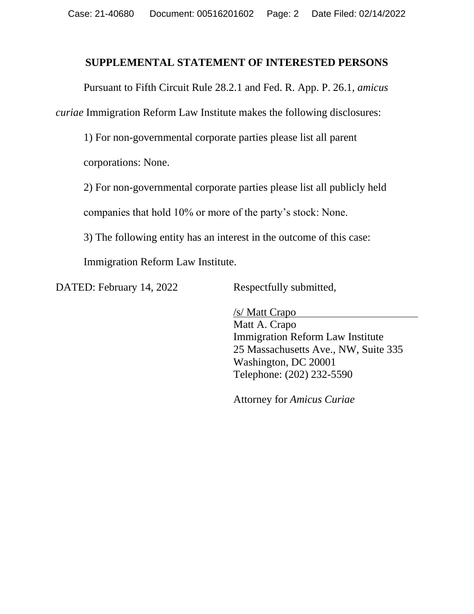#### **SUPPLEMENTAL STATEMENT OF INTERESTED PERSONS**

Pursuant to Fifth Circuit Rule 28.2.1 and Fed. R. App. P. 26.1, *amicus curiae* Immigration Reform Law Institute makes the following disclosures:

1) For non-governmental corporate parties please list all parent

corporations: None.

2) For non-governmental corporate parties please list all publicly held

companies that hold 10% or more of the party's stock: None.

3) The following entity has an interest in the outcome of this case:

Immigration Reform Law Institute.

DATED: February 14, 2022 Respectfully submitted,

/s/ Matt Crapo Matt A. Crapo Immigration Reform Law Institute 25 Massachusetts Ave., NW, Suite 335 Washington, DC 20001 Telephone: (202) 232-5590

Attorney for *Amicus Curiae*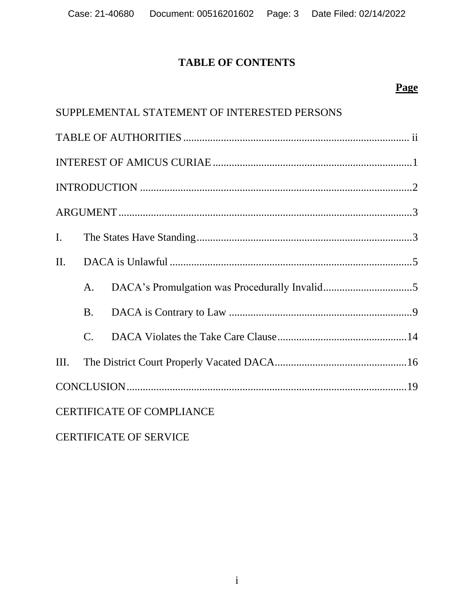# **TABLE OF CONTENTS**

# **Page**

|                |             | SUPPLEMENTAL STATEMENT OF INTERESTED PERSONS |  |
|----------------|-------------|----------------------------------------------|--|
|                |             |                                              |  |
|                |             |                                              |  |
|                |             |                                              |  |
|                |             |                                              |  |
| $\mathbf{I}$ . |             |                                              |  |
| II.            |             |                                              |  |
|                | A.          |                                              |  |
|                | <b>B.</b>   |                                              |  |
|                | $C_{\cdot}$ |                                              |  |
| III.           |             |                                              |  |
|                |             |                                              |  |
|                |             | <b>CERTIFICATE OF COMPLIANCE</b>             |  |

# CERTIFICATE OF SERVICE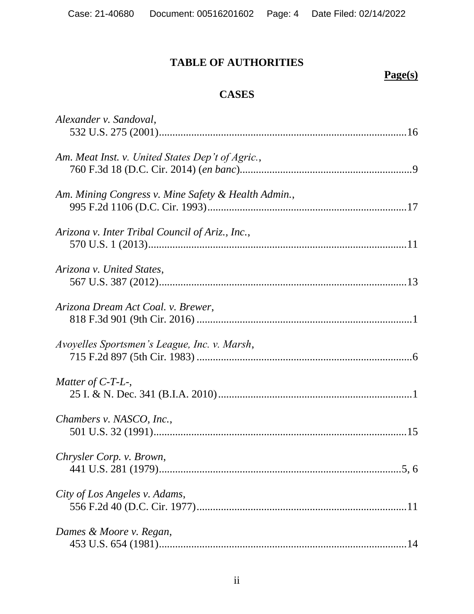# **TABLE OF AUTHORITIES**

# **Page(s)**

# **CASES**

| Alexander v. Sandoval,                              |
|-----------------------------------------------------|
| Am. Meat Inst. v. United States Dep't of Agric.,    |
| Am. Mining Congress v. Mine Safety & Health Admin., |
| Arizona v. Inter Tribal Council of Ariz., Inc.,     |
| Arizona v. United States,                           |
| Arizona Dream Act Coal. v. Brewer,                  |
| Avoyelles Sportsmen's League, Inc. v. Marsh,        |
| Matter of $C$ -T-L-,                                |
| Chambers v. NASCO, Inc.,                            |
| Chrysler Corp. v. Brown,                            |
| City of Los Angeles v. Adams,                       |
| Dames & Moore v. Regan,                             |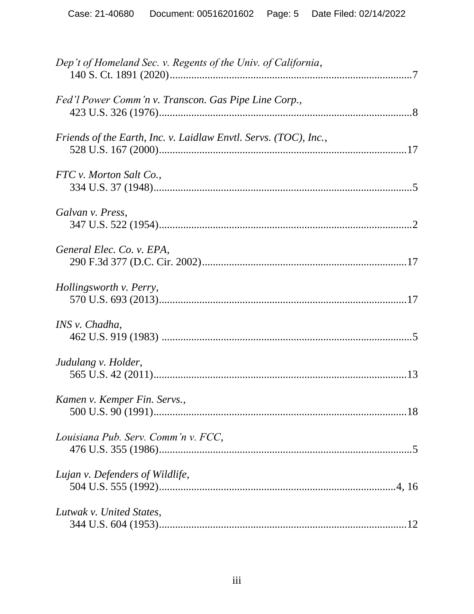| Dep't of Homeland Sec. v. Regents of the Univ. of California,    |  |
|------------------------------------------------------------------|--|
| Fed'l Power Comm'n v. Transcon. Gas Pipe Line Corp.,             |  |
| Friends of the Earth, Inc. v. Laidlaw Envtl. Servs. (TOC), Inc., |  |
| FTC v. Morton Salt Co.,                                          |  |
| Galvan v. Press,                                                 |  |
| General Elec. Co. v. EPA,                                        |  |
| Hollingsworth v. Perry,                                          |  |
| INS v. Chadha,                                                   |  |
| Judulang v. Holder,                                              |  |
| Kamen v. Kemper Fin. Servs.,                                     |  |
| Louisiana Pub. Serv. Comm'n v. FCC,                              |  |
| Lujan v. Defenders of Wildlife,                                  |  |
| Lutwak v. United States,                                         |  |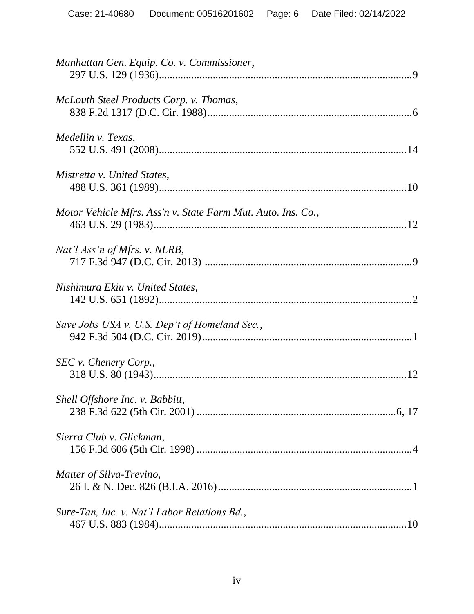| Manhattan Gen. Equip. Co. v. Commissioner,                   |
|--------------------------------------------------------------|
| McLouth Steel Products Corp. v. Thomas,                      |
| Medellin v. Texas,                                           |
| Mistretta v. United States,                                  |
| Motor Vehicle Mfrs. Ass'n v. State Farm Mut. Auto. Ins. Co., |
| Nat'l Ass'n of Mfrs. v. NLRB,                                |
| Nishimura Ekiu v. United States,                             |
| Save Jobs USA v. U.S. Dep't of Homeland Sec.,                |
| SEC v. Chenery Corp.,                                        |
| Shell Offshore Inc. v. Babbitt,                              |
| Sierra Club v. Glickman,                                     |
| Matter of Silva-Trevino,                                     |
| Sure-Tan, Inc. v. Nat'l Labor Relations Bd.,                 |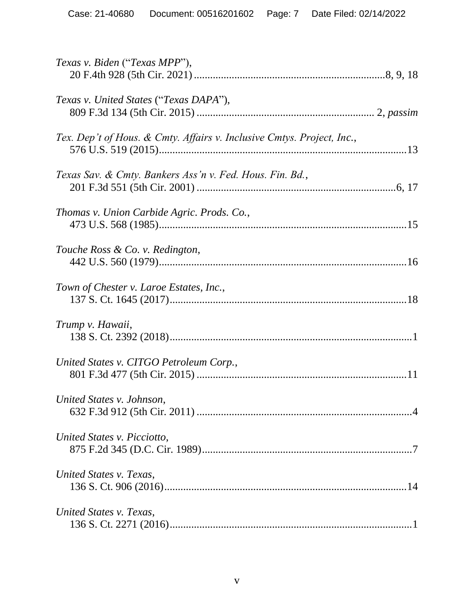| Texas v. Biden ("Texas MPP"),                                          |
|------------------------------------------------------------------------|
| Texas v. United States ("Texas DAPA"),                                 |
| Tex. Dep't of Hous. & Cmty. Affairs v. Inclusive Cmtys. Project, Inc., |
| Texas Sav. & Cmty. Bankers Ass'n v. Fed. Hous. Fin. Bd.,               |
| Thomas v. Union Carbide Agric. Prods. Co.,                             |
| Touche Ross & Co. v. Redington,                                        |
| Town of Chester v. Laroe Estates, Inc.,                                |
| Trump v. Hawaii,                                                       |
| United States v. CITGO Petroleum Corp.,                                |
| United States v. Johnson,                                              |
| United States v. Picciotto,                                            |
| United States v. Texas,                                                |
| United States v. Texas,                                                |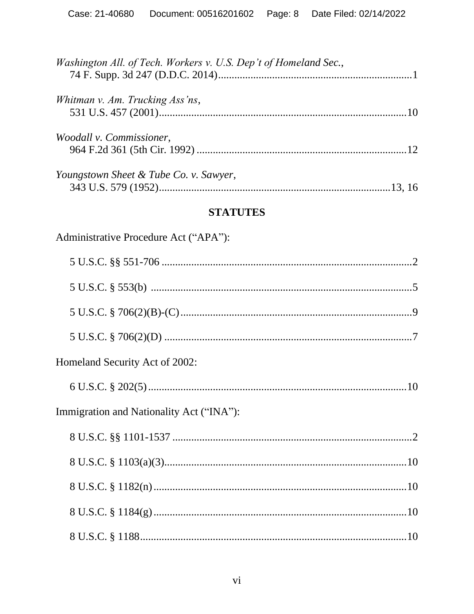| Washington All. of Tech. Workers v. U.S. Dep't of Homeland Sec., |  |
|------------------------------------------------------------------|--|
| Whitman v. Am. Trucking Ass'ns,                                  |  |
| Woodall v. Commissioner,                                         |  |
| Youngstown Sheet & Tube Co. v. Sawyer,                           |  |

# **STATUTES**

Administrative Procedure Act ("APA"):

| Homeland Security Act of 2002: |                                          |  |
|--------------------------------|------------------------------------------|--|
|                                |                                          |  |
|                                | Immigration and Nationality Act ("INA"): |  |
|                                |                                          |  |
|                                |                                          |  |
|                                |                                          |  |
|                                |                                          |  |
|                                |                                          |  |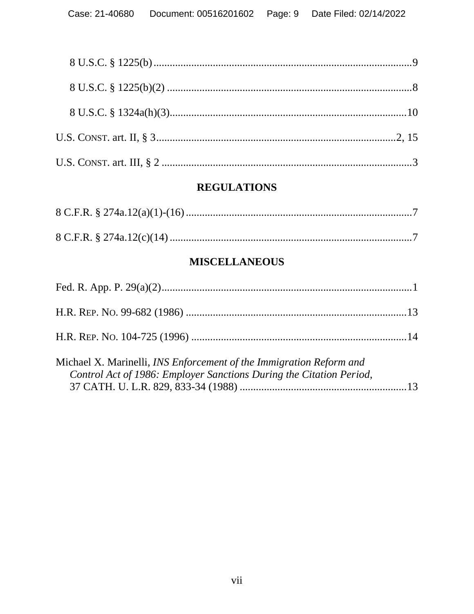## **REGULATIONS**

## **MISCELLANEOUS**

| Michael X. Marinelli, <i>INS Enforcement of the Immigration Reform and</i> |  |
|----------------------------------------------------------------------------|--|

| Alchael A. Mathielli, <i>INS Enforcement of the Immigration Reform and</i> |  |
|----------------------------------------------------------------------------|--|
| Control Act of 1986: Employer Sanctions During the Citation Period,        |  |
|                                                                            |  |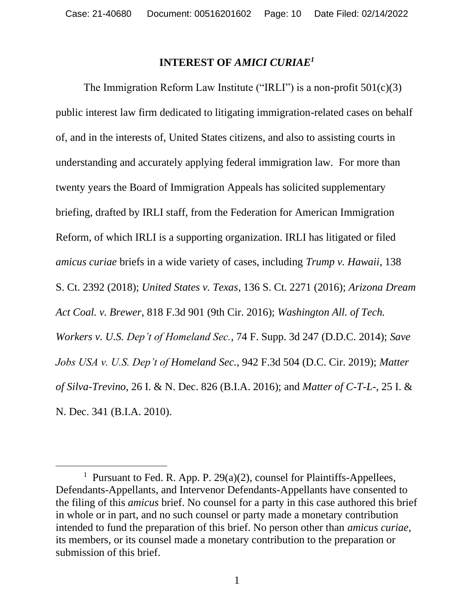### **INTEREST OF** *AMICI CURIAE<sup>1</sup>*

The Immigration Reform Law Institute ("IRLI") is a non-profit  $501(c)(3)$ public interest law firm dedicated to litigating immigration-related cases on behalf of, and in the interests of, United States citizens, and also to assisting courts in understanding and accurately applying federal immigration law. For more than twenty years the Board of Immigration Appeals has solicited supplementary briefing, drafted by IRLI staff, from the Federation for American Immigration Reform, of which IRLI is a supporting organization. IRLI has litigated or filed *amicus curiae* briefs in a wide variety of cases, including *Trump v. Hawaii*, 138 S. Ct. 2392 (2018); *United States v. Texas*, 136 S. Ct. 2271 (2016); *Arizona Dream Act Coal. v. Brewer*, 818 F.3d 901 (9th Cir. 2016); *Washington All. of Tech. Workers v. U.S. Dep't of Homeland Sec.*, 74 F. Supp. 3d 247 (D.D.C. 2014); *Save Jobs USA v. U.S. Dep't of Homeland Sec.*, 942 F.3d 504 (D.C. Cir. 2019); *Matter of Silva-Trevino*, 26 I. & N. Dec. 826 (B.I.A. 2016); and *Matter of C-T-L-*, 25 I. & N. Dec. 341 (B.I.A. 2010).

<sup>&</sup>lt;sup>1</sup> Pursuant to Fed. R. App. P. 29(a)(2), counsel for Plaintiffs-Appellees, Defendants-Appellants, and Intervenor Defendants-Appellants have consented to the filing of this *amicus* brief. No counsel for a party in this case authored this brief in whole or in part, and no such counsel or party made a monetary contribution intended to fund the preparation of this brief. No person other than *amicus curiae*, its members, or its counsel made a monetary contribution to the preparation or submission of this brief.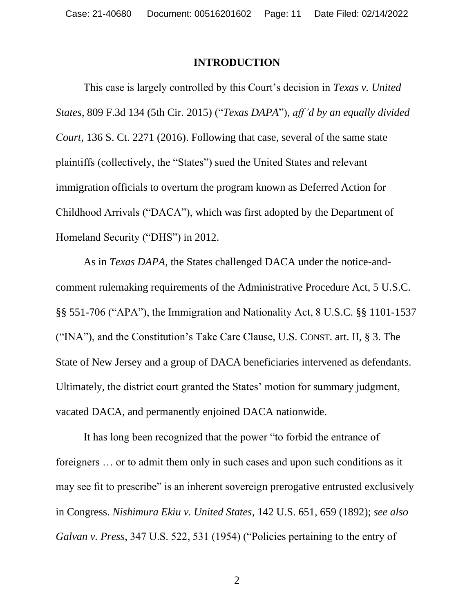#### **INTRODUCTION**

This case is largely controlled by this Court's decision in *Texas v. United States*, 809 F.3d 134 (5th Cir. 2015) ("*Texas DAPA*"), *aff 'd by an equally divided Court*, 136 S. Ct. 2271 (2016). Following that case, several of the same state plaintiffs (collectively, the "States") sued the United States and relevant immigration officials to overturn the program known as Deferred Action for Childhood Arrivals ("DACA"), which was first adopted by the Department of Homeland Security ("DHS") in 2012.

As in *Texas DAPA*, the States challenged DACA under the notice-andcomment rulemaking requirements of the Administrative Procedure Act, 5 U.S.C. §§ 551-706 ("APA"), the Immigration and Nationality Act, 8 U.S.C. §§ 1101-1537 ("INA"), and the Constitution's Take Care Clause, U.S. CONST. art. II, § 3. The State of New Jersey and a group of DACA beneficiaries intervened as defendants. Ultimately, the district court granted the States' motion for summary judgment, vacated DACA, and permanently enjoined DACA nationwide.

It has long been recognized that the power "to forbid the entrance of foreigners … or to admit them only in such cases and upon such conditions as it may see fit to prescribe" is an inherent sovereign prerogative entrusted exclusively in Congress. *Nishimura Ekiu v. United States*, 142 U.S. 651, 659 (1892); *see also Galvan v. Press*, 347 U.S. 522, 531 (1954) ("Policies pertaining to the entry of

2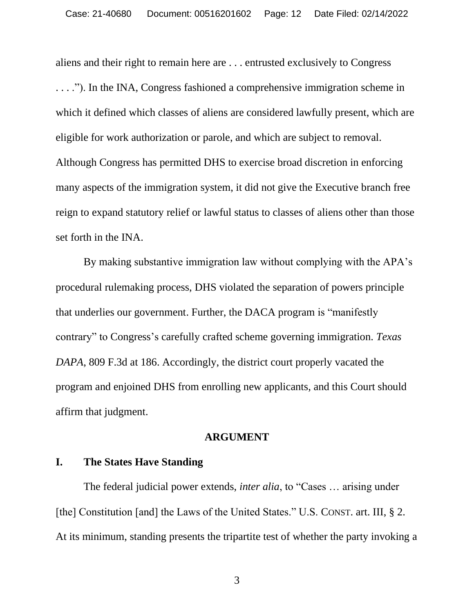aliens and their right to remain here are . . . entrusted exclusively to Congress

. . . ."). In the INA, Congress fashioned a comprehensive immigration scheme in which it defined which classes of aliens are considered lawfully present, which are eligible for work authorization or parole, and which are subject to removal. Although Congress has permitted DHS to exercise broad discretion in enforcing many aspects of the immigration system, it did not give the Executive branch free reign to expand statutory relief or lawful status to classes of aliens other than those set forth in the INA.

By making substantive immigration law without complying with the APA's procedural rulemaking process, DHS violated the separation of powers principle that underlies our government. Further, the DACA program is "manifestly contrary" to Congress's carefully crafted scheme governing immigration. *Texas DAPA*, 809 F.3d at 186. Accordingly, the district court properly vacated the program and enjoined DHS from enrolling new applicants, and this Court should affirm that judgment.

#### **ARGUMENT**

#### **I. The States Have Standing**

The federal judicial power extends, *inter alia*, to "Cases … arising under [the] Constitution [and] the Laws of the United States." U.S. CONST. art. III, § 2. At its minimum, standing presents the tripartite test of whether the party invoking a

3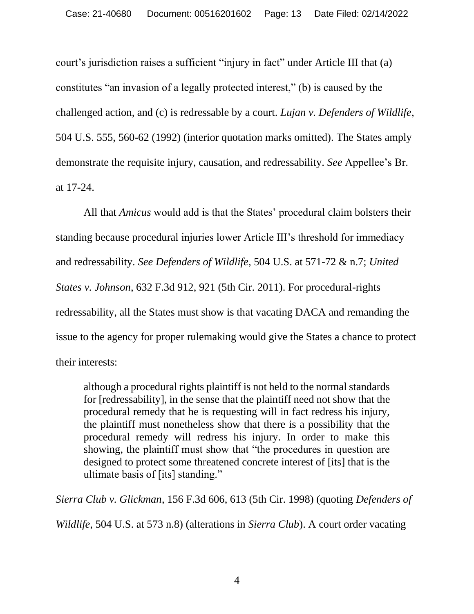court's jurisdiction raises a sufficient "injury in fact" under Article III that (a) constitutes "an invasion of a legally protected interest," (b) is caused by the challenged action, and (c) is redressable by a court. *Lujan v. Defenders of Wildlife*, 504 U.S. 555, 560-62 (1992) (interior quotation marks omitted). The States amply demonstrate the requisite injury, causation, and redressability. *See* Appellee's Br. at 17-24.

All that *Amicus* would add is that the States' procedural claim bolsters their standing because procedural injuries lower Article III's threshold for immediacy and redressability. *See Defenders of Wildlife*, 504 U.S. at 571-72 & n.7; *United States v. Johnson*, 632 F.3d 912, 921 (5th Cir. 2011). For procedural-rights redressability, all the States must show is that vacating DACA and remanding the issue to the agency for proper rulemaking would give the States a chance to protect their interests:

although a procedural rights plaintiff is not held to the normal standards for [redressability], in the sense that the plaintiff need not show that the procedural remedy that he is requesting will in fact redress his injury, the plaintiff must nonetheless show that there is a possibility that the procedural remedy will redress his injury. In order to make this showing, the plaintiff must show that "the procedures in question are designed to protect some threatened concrete interest of [its] that is the ultimate basis of [its] standing."

*Sierra Club v. Glickman*, 156 F.3d 606, 613 (5th Cir. 1998) (quoting *Defenders of* 

*Wildlife*, 504 U.S. at 573 n.8) (alterations in *Sierra Club*). A court order vacating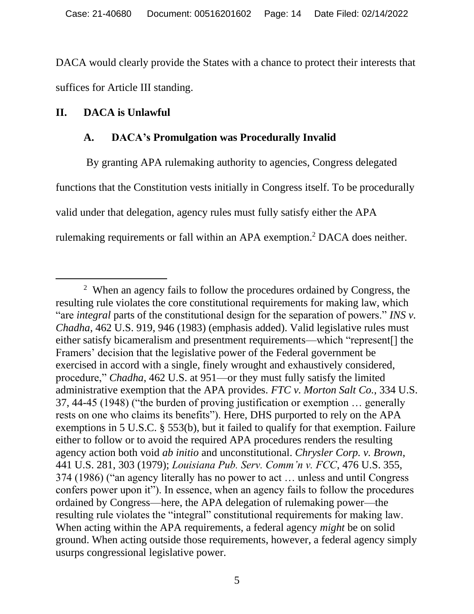DACA would clearly provide the States with a chance to protect their interests that suffices for Article III standing.

### **II. DACA is Unlawful**

### **A. DACA's Promulgation was Procedurally Invalid**

By granting APA rulemaking authority to agencies, Congress delegated functions that the Constitution vests initially in Congress itself. To be procedurally valid under that delegation, agency rules must fully satisfy either the APA rulemaking requirements or fall within an APA exemption.<sup>2</sup> DACA does neither.

<sup>&</sup>lt;sup>2</sup> When an agency fails to follow the procedures ordained by Congress, the resulting rule violates the core constitutional requirements for making law, which "are *integral* parts of the constitutional design for the separation of powers." *INS v. Chadha*, 462 U.S. 919, 946 (1983) (emphasis added). Valid legislative rules must either satisfy bicameralism and presentment requirements—which "represent[] the Framers' decision that the legislative power of the Federal government be exercised in accord with a single, finely wrought and exhaustively considered, procedure," *Chadha*, 462 U.S. at 951—or they must fully satisfy the limited administrative exemption that the APA provides. *FTC v. Morton Salt Co.*, 334 U.S. 37, 44-45 (1948) ("the burden of proving justification or exemption … generally rests on one who claims its benefits"). Here, DHS purported to rely on the APA exemptions in 5 U.S.C. § 553(b), but it failed to qualify for that exemption. Failure either to follow or to avoid the required APA procedures renders the resulting agency action both void *ab initio* and unconstitutional. *Chrysler Corp. v. Brown*, 441 U.S. 281, 303 (1979); *Louisiana Pub. Serv. Comm'n v. FCC*, 476 U.S. 355, 374 (1986) ("an agency literally has no power to act … unless and until Congress confers power upon it"). In essence, when an agency fails to follow the procedures ordained by Congress—here, the APA delegation of rulemaking power—the resulting rule violates the "integral" constitutional requirements for making law. When acting within the APA requirements, a federal agency *might* be on solid ground. When acting outside those requirements, however, a federal agency simply usurps congressional legislative power.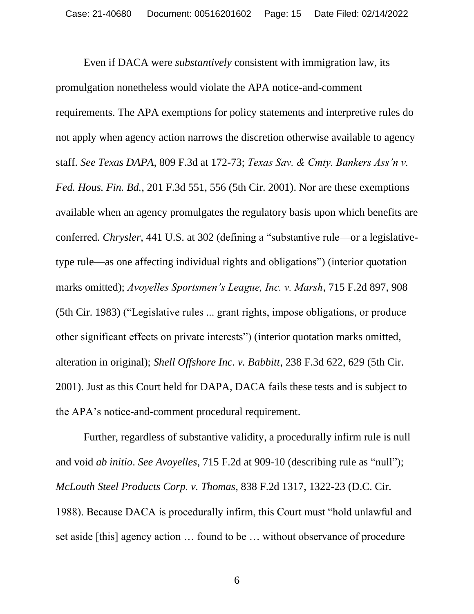Even if DACA were *substantively* consistent with immigration law, its promulgation nonetheless would violate the APA notice-and-comment requirements. The APA exemptions for policy statements and interpretive rules do not apply when agency action narrows the discretion otherwise available to agency staff. *See Texas DAPA*, 809 F.3d at 172-73; *Texas Sav. & Cmty. Bankers Ass'n v. Fed. Hous. Fin. Bd.*, 201 F.3d 551, 556 (5th Cir. 2001). Nor are these exemptions available when an agency promulgates the regulatory basis upon which benefits are conferred. *Chrysler*, 441 U.S. at 302 (defining a "substantive rule—or a legislativetype rule—as one affecting individual rights and obligations") (interior quotation marks omitted); *Avoyelles Sportsmen's League, Inc. v. Marsh*, 715 F.2d 897, 908 (5th Cir. 1983) ("Legislative rules ... grant rights, impose obligations, or produce other significant effects on private interests") (interior quotation marks omitted, alteration in original); *Shell Offshore Inc. v. Babbitt*, 238 F.3d 622, 629 (5th Cir. 2001). Just as this Court held for DAPA, DACA fails these tests and is subject to the APA's notice-and-comment procedural requirement.

Further, regardless of substantive validity, a procedurally infirm rule is null and void *ab initio*. *See Avoyelles*, 715 F.2d at 909-10 (describing rule as "null"); *McLouth Steel Products Corp. v. Thomas*, 838 F.2d 1317, 1322-23 (D.C. Cir. 1988). Because DACA is procedurally infirm, this Court must "hold unlawful and set aside [this] agency action … found to be … without observance of procedure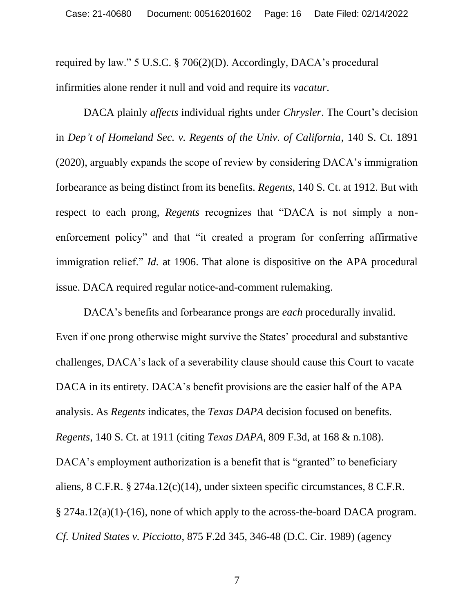required by law." 5 U.S.C. § 706(2)(D). Accordingly, DACA's procedural infirmities alone render it null and void and require its *vacatur*.

DACA plainly *affects* individual rights under *Chrysler*. The Court's decision in *Dep't of Homeland Sec. v. Regents of the Univ. of California*, 140 S. Ct. 1891 (2020), arguably expands the scope of review by considering DACA's immigration forbearance as being distinct from its benefits. *Regents*, 140 S. Ct. at 1912. But with respect to each prong, *Regents* recognizes that "DACA is not simply a nonenforcement policy" and that "it created a program for conferring affirmative immigration relief." *Id.* at 1906. That alone is dispositive on the APA procedural issue. DACA required regular notice-and-comment rulemaking.

DACA's benefits and forbearance prongs are *each* procedurally invalid. Even if one prong otherwise might survive the States' procedural and substantive challenges, DACA's lack of a severability clause should cause this Court to vacate DACA in its entirety. DACA's benefit provisions are the easier half of the APA analysis. As *Regents* indicates, the *Texas DAPA* decision focused on benefits. *Regents*, 140 S. Ct. at 1911 (citing *Texas DAPA*, 809 F.3d, at 168 & n.108). DACA's employment authorization is a benefit that is "granted" to beneficiary aliens, 8 C.F.R. § 274a.12(c)(14), under sixteen specific circumstances, 8 C.F.R. § 274a.12(a)(1)-(16), none of which apply to the across-the-board DACA program. *Cf. United States v. Picciotto*, 875 F.2d 345, 346-48 (D.C. Cir. 1989) (agency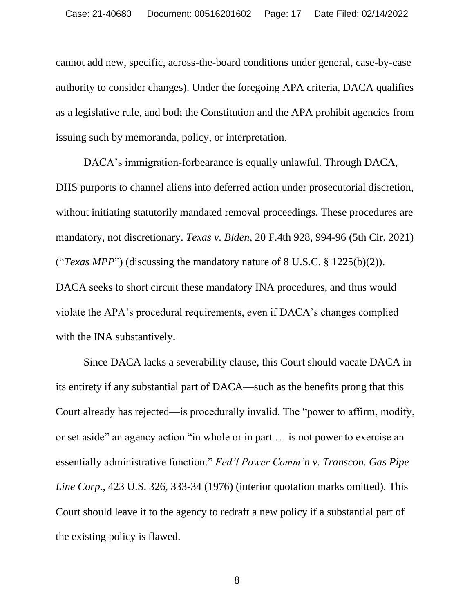cannot add new, specific, across-the-board conditions under general, case-by-case authority to consider changes). Under the foregoing APA criteria, DACA qualifies as a legislative rule, and both the Constitution and the APA prohibit agencies from issuing such by memoranda, policy, or interpretation.

DACA's immigration-forbearance is equally unlawful. Through DACA, DHS purports to channel aliens into deferred action under prosecutorial discretion, without initiating statutorily mandated removal proceedings. These procedures are mandatory, not discretionary. *Texas v. Biden*, 20 F.4th 928, 994-96 (5th Cir. 2021) ("*Texas MPP*") (discussing the mandatory nature of 8 U.S.C. § 1225(b)(2)). DACA seeks to short circuit these mandatory INA procedures, and thus would violate the APA's procedural requirements, even if DACA's changes complied with the INA substantively.

Since DACA lacks a severability clause, this Court should vacate DACA in its entirety if any substantial part of DACA—such as the benefits prong that this Court already has rejected—is procedurally invalid. The "power to affirm, modify, or set aside" an agency action "in whole or in part … is not power to exercise an essentially administrative function." *Fed'l Power Comm'n v. Transcon. Gas Pipe Line Corp.*, 423 U.S. 326, 333-34 (1976) (interior quotation marks omitted). This Court should leave it to the agency to redraft a new policy if a substantial part of the existing policy is flawed.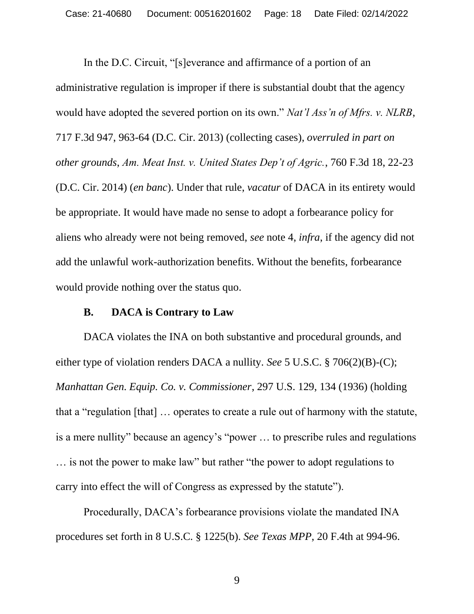In the D.C. Circuit, "[s]everance and affirmance of a portion of an administrative regulation is improper if there is substantial doubt that the agency would have adopted the severed portion on its own." *Nat'l Ass'n of Mfrs. v. NLRB*, 717 F.3d 947, 963-64 (D.C. Cir. 2013) (collecting cases), *overruled in part on other grounds*, *Am. Meat Inst. v. United States Dep't of Agric.*, 760 F.3d 18, 22-23 (D.C. Cir. 2014) (*en banc*). Under that rule, *vacatur* of DACA in its entirety would be appropriate. It would have made no sense to adopt a forbearance policy for aliens who already were not being removed, *see* note 4, *infra*, if the agency did not add the unlawful work-authorization benefits. Without the benefits, forbearance would provide nothing over the status quo.

#### **B. DACA is Contrary to Law**

DACA violates the INA on both substantive and procedural grounds, and either type of violation renders DACA a nullity. *See* 5 U.S.C. § 706(2)(B)-(C); *Manhattan Gen. Equip. Co. v. Commissioner*, 297 U.S. 129, 134 (1936) (holding that a "regulation [that] … operates to create a rule out of harmony with the statute, is a mere nullity" because an agency's "power … to prescribe rules and regulations … is not the power to make law" but rather "the power to adopt regulations to carry into effect the will of Congress as expressed by the statute").

Procedurally, DACA's forbearance provisions violate the mandated INA procedures set forth in 8 U.S.C. § 1225(b). *See Texas MPP*, 20 F.4th at 994-96.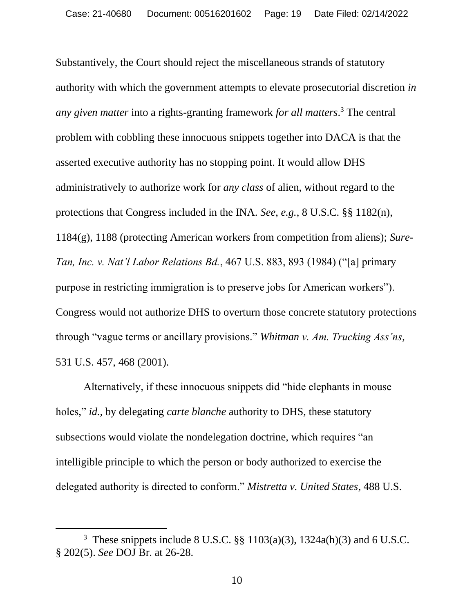Substantively, the Court should reject the miscellaneous strands of statutory authority with which the government attempts to elevate prosecutorial discretion *in any given matter* into a rights-granting framework *for all matters*. <sup>3</sup> The central problem with cobbling these innocuous snippets together into DACA is that the asserted executive authority has no stopping point. It would allow DHS administratively to authorize work for *any class* of alien, without regard to the protections that Congress included in the INA. *See*, *e.g.*, 8 U.S.C. §§ 1182(n), 1184(g), 1188 (protecting American workers from competition from aliens); *Sure-Tan, Inc. v. Nat'l Labor Relations Bd.*, 467 U.S. 883, 893 (1984) ("[a] primary purpose in restricting immigration is to preserve jobs for American workers"). Congress would not authorize DHS to overturn those concrete statutory protections through "vague terms or ancillary provisions." *Whitman v. Am. Trucking Ass'ns*, 531 U.S. 457, 468 (2001).

Alternatively, if these innocuous snippets did "hide elephants in mouse holes," *id.*, by delegating *carte blanche* authority to DHS, these statutory subsections would violate the nondelegation doctrine, which requires "an intelligible principle to which the person or body authorized to exercise the delegated authority is directed to conform." *Mistretta v. United States*, 488 U.S.

<sup>&</sup>lt;sup>3</sup> These snippets include 8 U.S.C. §§ 1103(a)(3), 1324a(h)(3) and 6 U.S.C. § 202(5). *See* DOJ Br. at 26-28.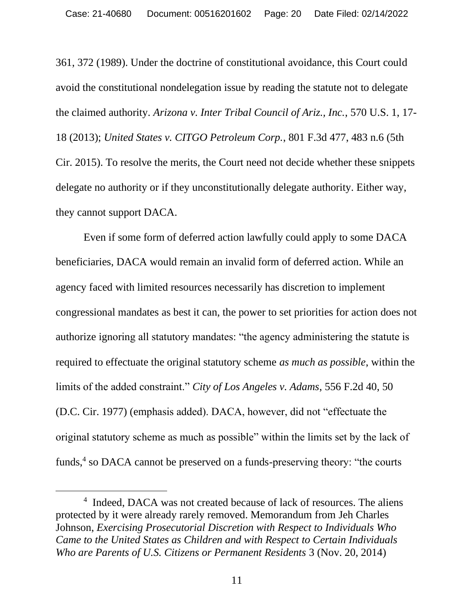361, 372 (1989). Under the doctrine of constitutional avoidance, this Court could avoid the constitutional nondelegation issue by reading the statute not to delegate the claimed authority. *Arizona v. Inter Tribal Council of Ariz., Inc.*, 570 U.S. 1, 17- 18 (2013); *United States v. CITGO Petroleum Corp.*, 801 F.3d 477, 483 n.6 (5th Cir. 2015). To resolve the merits, the Court need not decide whether these snippets delegate no authority or if they unconstitutionally delegate authority. Either way, they cannot support DACA.

Even if some form of deferred action lawfully could apply to some DACA beneficiaries, DACA would remain an invalid form of deferred action. While an agency faced with limited resources necessarily has discretion to implement congressional mandates as best it can, the power to set priorities for action does not authorize ignoring all statutory mandates: "the agency administering the statute is required to effectuate the original statutory scheme *as much as possible*, within the limits of the added constraint." *City of Los Angeles v. Adams*, 556 F.2d 40, 50 (D.C. Cir. 1977) (emphasis added). DACA, however, did not "effectuate the original statutory scheme as much as possible" within the limits set by the lack of funds,<sup>4</sup> so DACA cannot be preserved on a funds-preserving theory: "the courts

<sup>&</sup>lt;sup>4</sup> Indeed, DACA was not created because of lack of resources. The aliens protected by it were already rarely removed. Memorandum from Jeh Charles Johnson, *Exercising Prosecutorial Discretion with Respect to Individuals Who Came to the United States as Children and with Respect to Certain Individuals Who are Parents of U.S. Citizens or Permanent Residents* 3 (Nov. 20, 2014)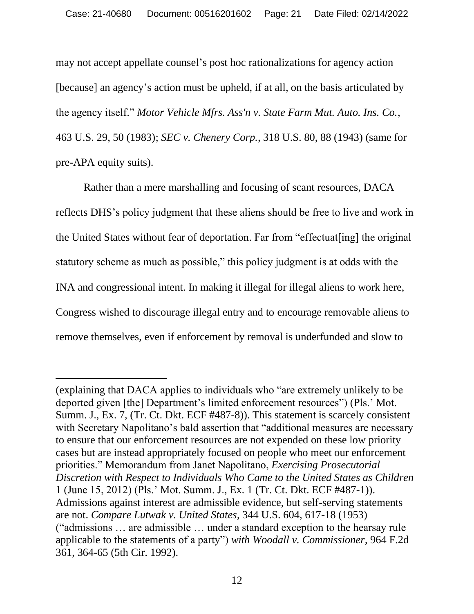may not accept appellate counsel's post hoc rationalizations for agency action [because] an agency's action must be upheld, if at all, on the basis articulated by the agency itself." *Motor Vehicle Mfrs. Ass'n v. State Farm Mut. Auto. Ins. Co.*, 463 U.S. 29, 50 (1983); *SEC v. Chenery Corp.,* 318 U.S. 80, 88 (1943) (same for pre-APA equity suits).

Rather than a mere marshalling and focusing of scant resources, DACA reflects DHS's policy judgment that these aliens should be free to live and work in the United States without fear of deportation. Far from "effectuat[ing] the original statutory scheme as much as possible," this policy judgment is at odds with the INA and congressional intent. In making it illegal for illegal aliens to work here, Congress wished to discourage illegal entry and to encourage removable aliens to remove themselves, even if enforcement by removal is underfunded and slow to

<sup>(</sup>explaining that DACA applies to individuals who "are extremely unlikely to be deported given [the] Department's limited enforcement resources") (Pls.' Mot. Summ. J., Ex. 7, (Tr. Ct. Dkt. ECF #487-8)). This statement is scarcely consistent with Secretary Napolitano's bald assertion that "additional measures are necessary to ensure that our enforcement resources are not expended on these low priority cases but are instead appropriately focused on people who meet our enforcement priorities." Memorandum from Janet Napolitano, *Exercising Prosecutorial Discretion with Respect to Individuals Who Came to the United States as Children* 1 (June 15, 2012) (Pls.' Mot. Summ. J., Ex. 1 (Tr. Ct. Dkt. ECF #487-1)). Admissions against interest are admissible evidence, but self-serving statements are not. *Compare Lutwak v. United States*, 344 U.S. 604, 617-18 (1953) ("admissions … are admissible … under a standard exception to the hearsay rule applicable to the statements of a party") *with Woodall v. Commissioner*, 964 F.2d 361, 364-65 (5th Cir. 1992).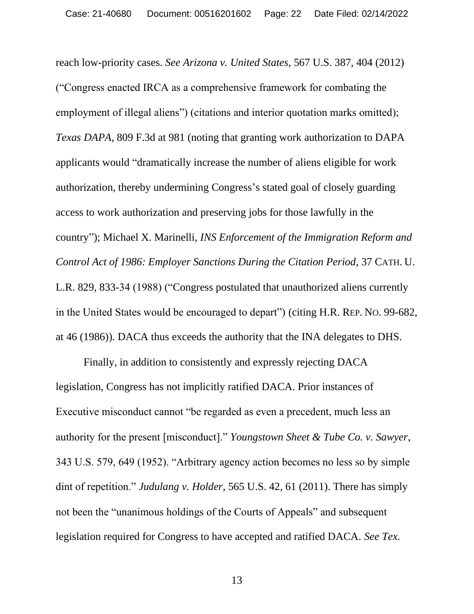reach low-priority cases. *See Arizona v. United States*, 567 U.S. 387, 404 (2012) ("Congress enacted IRCA as a comprehensive framework for combating the employment of illegal aliens") (citations and interior quotation marks omitted); *Texas DAPA*, 809 F.3d at 981 (noting that granting work authorization to DAPA applicants would "dramatically increase the number of aliens eligible for work authorization, thereby undermining Congress's stated goal of closely guarding access to work authorization and preserving jobs for those lawfully in the country"); Michael X. Marinelli, *INS Enforcement of the Immigration Reform and Control Act of 1986: Employer Sanctions During the Citation Period*, 37 CATH. U. L.R. 829, 833-34 (1988) ("Congress postulated that unauthorized aliens currently in the United States would be encouraged to depart") (citing H.R. REP. NO. 99-682, at 46 (1986)). DACA thus exceeds the authority that the INA delegates to DHS.

Finally, in addition to consistently and expressly rejecting DACA legislation, Congress has not implicitly ratified DACA. Prior instances of Executive misconduct cannot "be regarded as even a precedent, much less an authority for the present [misconduct]." *Youngstown Sheet & Tube Co. v. Sawyer*, 343 U.S. 579, 649 (1952). "Arbitrary agency action becomes no less so by simple dint of repetition." *Judulang v. Holder*, 565 U.S. 42, 61 (2011). There has simply not been the "unanimous holdings of the Courts of Appeals" and subsequent legislation required for Congress to have accepted and ratified DACA. *See Tex.*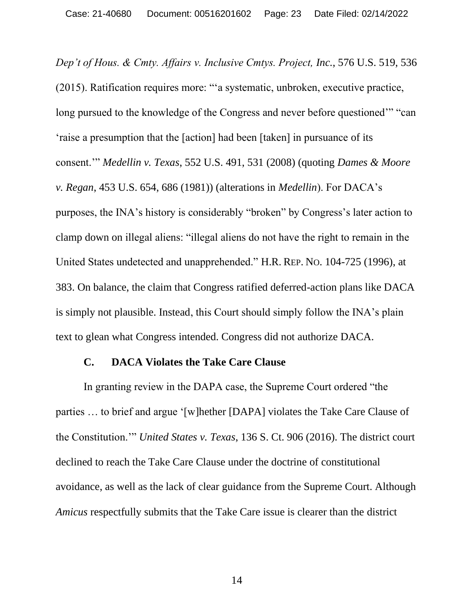*Dep't of Hous. & Cmty. Affairs v. Inclusive Cmtys. Project, Inc.*, 576 U.S. 519, 536 (2015). Ratification requires more: "'a systematic, unbroken, executive practice, long pursued to the knowledge of the Congress and never before questioned'" "can 'raise a presumption that the [action] had been [taken] in pursuance of its consent.'" *Medellin v. Texas*, 552 U.S. 491, 531 (2008) (quoting *Dames & Moore v. Regan*, 453 U.S. 654, 686 (1981)) (alterations in *Medellin*). For DACA's purposes, the INA's history is considerably "broken" by Congress's later action to clamp down on illegal aliens: "illegal aliens do not have the right to remain in the United States undetected and unapprehended." H.R. REP. NO. 104-725 (1996), at 383. On balance, the claim that Congress ratified deferred-action plans like DACA is simply not plausible. Instead, this Court should simply follow the INA's plain text to glean what Congress intended. Congress did not authorize DACA.

#### **C. DACA Violates the Take Care Clause**

In granting review in the DAPA case, the Supreme Court ordered "the parties … to brief and argue '[w]hether [DAPA] violates the Take Care Clause of the Constitution.'" *United States v. Texas*, 136 S. Ct. 906 (2016). The district court declined to reach the Take Care Clause under the doctrine of constitutional avoidance, as well as the lack of clear guidance from the Supreme Court. Although *Amicus* respectfully submits that the Take Care issue is clearer than the district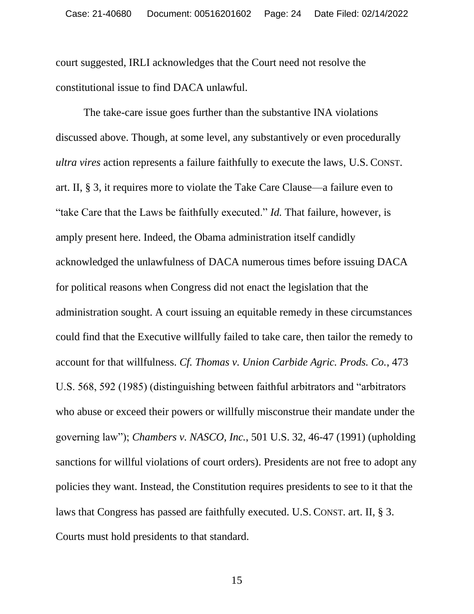court suggested, IRLI acknowledges that the Court need not resolve the constitutional issue to find DACA unlawful.

The take-care issue goes further than the substantive INA violations discussed above. Though, at some level, any substantively or even procedurally *ultra vires* action represents a failure faithfully to execute the laws, U.S. CONST. art. II, § 3, it requires more to violate the Take Care Clause—a failure even to "take Care that the Laws be faithfully executed." *Id.* That failure, however, is amply present here. Indeed, the Obama administration itself candidly acknowledged the unlawfulness of DACA numerous times before issuing DACA for political reasons when Congress did not enact the legislation that the administration sought. A court issuing an equitable remedy in these circumstances could find that the Executive willfully failed to take care, then tailor the remedy to account for that willfulness. *Cf. Thomas v. Union Carbide Agric. Prods. Co.*, 473 U.S. 568, 592 (1985) (distinguishing between faithful arbitrators and "arbitrators who abuse or exceed their powers or willfully misconstrue their mandate under the governing law"); *Chambers v. NASCO, Inc.*, 501 U.S. 32, 46-47 (1991) (upholding sanctions for willful violations of court orders). Presidents are not free to adopt any policies they want. Instead, the Constitution requires presidents to see to it that the laws that Congress has passed are faithfully executed. U.S. CONST. art. II, § 3. Courts must hold presidents to that standard.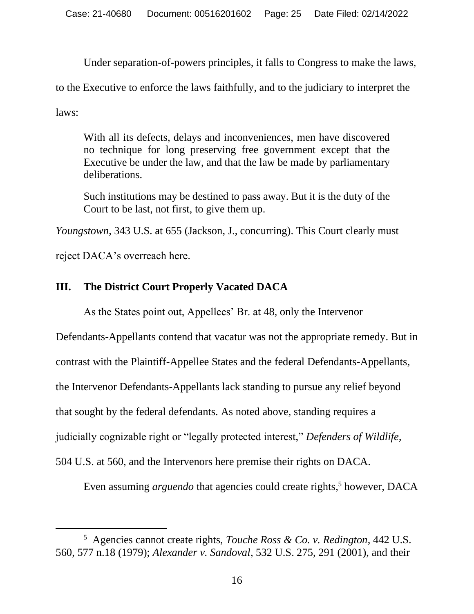Under separation-of-powers principles, it falls to Congress to make the laws,

to the Executive to enforce the laws faithfully, and to the judiciary to interpret the

laws:

With all its defects, delays and inconveniences, men have discovered no technique for long preserving free government except that the Executive be under the law, and that the law be made by parliamentary deliberations.

Such institutions may be destined to pass away. But it is the duty of the Court to be last, not first, to give them up.

*Youngstown*, 343 U.S. at 655 (Jackson, J., concurring). This Court clearly must

reject DACA's overreach here.

## **III. The District Court Properly Vacated DACA**

As the States point out, Appellees' Br. at 48, only the Intervenor

Defendants-Appellants contend that vacatur was not the appropriate remedy. But in contrast with the Plaintiff-Appellee States and the federal Defendants-Appellants, the Intervenor Defendants-Appellants lack standing to pursue any relief beyond that sought by the federal defendants. As noted above, standing requires a judicially cognizable right or "legally protected interest," *Defenders of Wildlife*, 504 U.S. at 560, and the Intervenors here premise their rights on DACA.

Even assuming *arguendo* that agencies could create rights, <sup>5</sup> however, DACA

<sup>5</sup> Agencies cannot create rights, *Touche Ross & Co. v. Redington*, 442 U.S. 560, 577 n.18 (1979); *Alexander v. Sandoval*, 532 U.S. 275, 291 (2001), and their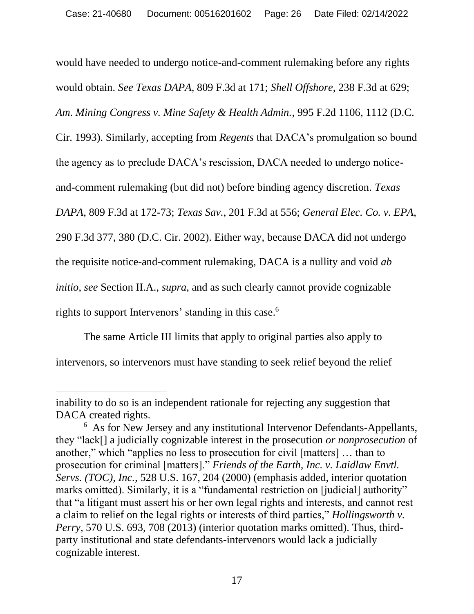would have needed to undergo notice-and-comment rulemaking before any rights would obtain. *See Texas DAPA*, 809 F.3d at 171; *Shell Offshore*, 238 F.3d at 629; *Am. Mining Congress v. Mine Safety & Health Admin.*, 995 F.2d 1106, 1112 (D.C. Cir. 1993). Similarly, accepting from *Regents* that DACA's promulgation so bound the agency as to preclude DACA's rescission, DACA needed to undergo noticeand-comment rulemaking (but did not) before binding agency discretion. *Texas DAPA*, 809 F.3d at 172-73; *Texas Sav.*, 201 F.3d at 556; *General Elec. Co. v. EPA*, 290 F.3d 377, 380 (D.C. Cir. 2002). Either way, because DACA did not undergo the requisite notice-and-comment rulemaking, DACA is a nullity and void *ab initio*, *see* Section II.A., *supra*, and as such clearly cannot provide cognizable rights to support Intervenors' standing in this case. 6

The same Article III limits that apply to original parties also apply to intervenors, so intervenors must have standing to seek relief beyond the relief

inability to do so is an independent rationale for rejecting any suggestion that DACA created rights.

<sup>6</sup> As for New Jersey and any institutional Intervenor Defendants-Appellants, they "lack[] a judicially cognizable interest in the prosecution *or nonprosecution* of another," which "applies no less to prosecution for civil [matters] … than to prosecution for criminal [matters]." *Friends of the Earth, Inc. v. Laidlaw Envtl. Servs. (TOC), Inc.*, 528 U.S. 167, 204 (2000) (emphasis added, interior quotation marks omitted). Similarly, it is a "fundamental restriction on [judicial] authority" that "a litigant must assert his or her own legal rights and interests, and cannot rest a claim to relief on the legal rights or interests of third parties," *Hollingsworth v. Perry*, 570 U.S. 693, 708 (2013) (interior quotation marks omitted). Thus, thirdparty institutional and state defendants-intervenors would lack a judicially cognizable interest.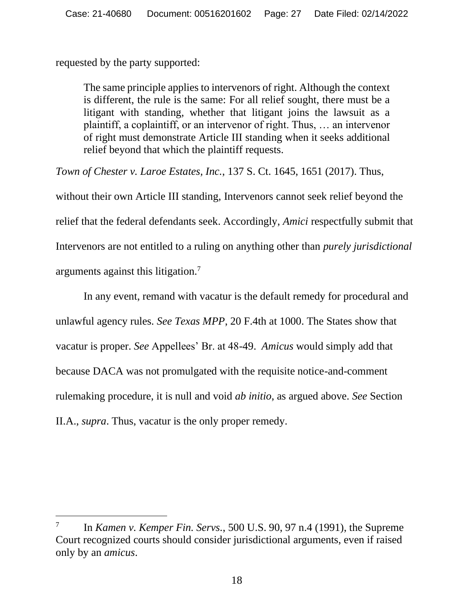requested by the party supported:

The same principle applies to intervenors of right. Although the context is different, the rule is the same: For all relief sought, there must be a litigant with standing, whether that litigant joins the lawsuit as a plaintiff, a coplaintiff, or an intervenor of right. Thus, … an intervenor of right must demonstrate Article III standing when it seeks additional relief beyond that which the plaintiff requests.

*Town of Chester v. Laroe Estates, Inc.*, 137 S. Ct. 1645, 1651 (2017). Thus,

without their own Article III standing, Intervenors cannot seek relief beyond the relief that the federal defendants seek. Accordingly, *Amici* respectfully submit that Intervenors are not entitled to a ruling on anything other than *purely jurisdictional* arguments against this litigation.<sup>7</sup>

In any event, remand with vacatur is the default remedy for procedural and unlawful agency rules. *See Texas MPP*, 20 F.4th at 1000. The States show that vacatur is proper. *See* Appellees' Br. at 48-49. *Amicus* would simply add that because DACA was not promulgated with the requisite notice-and-comment rulemaking procedure, it is null and void *ab initio*, as argued above. *See* Section II.A., *supra*. Thus, vacatur is the only proper remedy.

<sup>7</sup> In *Kamen v. Kemper Fin. Servs.*, 500 U.S. 90, 97 n.4 (1991), the Supreme Court recognized courts should consider jurisdictional arguments, even if raised only by an *amicus*.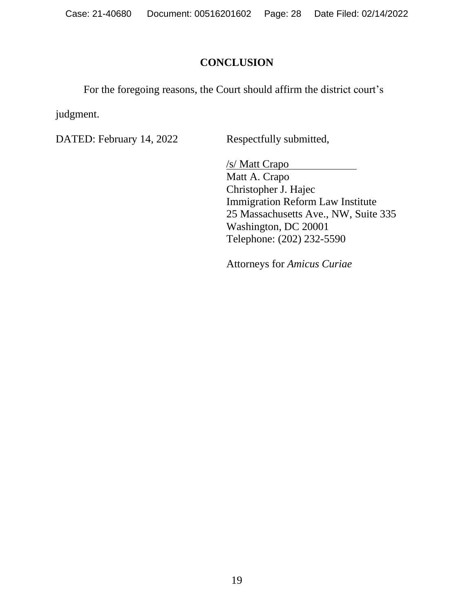Case: 21-40680 Document: 00516201602 Page: 28 Date Filed: 02/14/2022

## **CONCLUSION**

For the foregoing reasons, the Court should affirm the district court's

judgment.

DATED: February 14, 2022 Respectfully submitted,

/s/ Matt Crapo Matt A. Crapo Christopher J. Hajec Immigration Reform Law Institute 25 Massachusetts Ave., NW, Suite 335 Washington, DC 20001 Telephone: (202) 232-5590

Attorneys for *Amicus Curiae*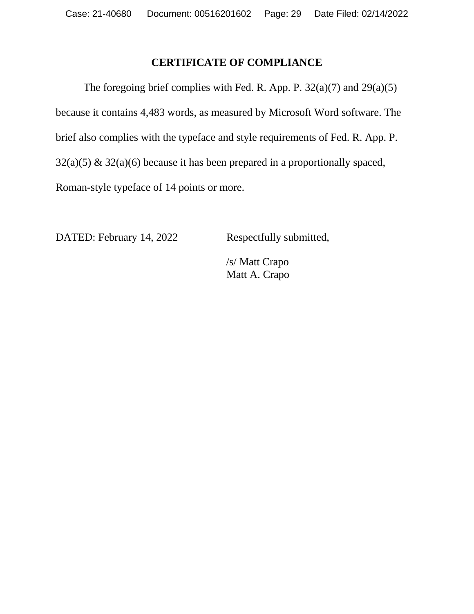### **CERTIFICATE OF COMPLIANCE**

The foregoing brief complies with Fed. R. App. P.  $32(a)(7)$  and  $29(a)(5)$ because it contains 4,483 words, as measured by Microsoft Word software. The brief also complies with the typeface and style requirements of Fed. R. App. P.  $32(a)(5)$  &  $32(a)(6)$  because it has been prepared in a proportionally spaced, Roman-style typeface of 14 points or more.

DATED: February 14, 2022 Respectfully submitted,

/s/ Matt Crapo Matt A. Crapo